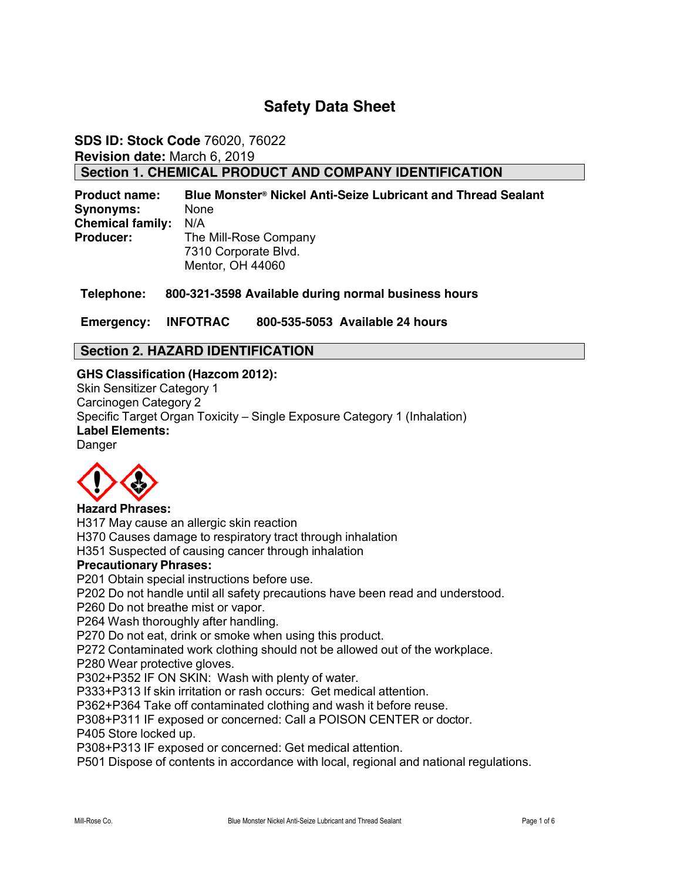# **Safety Data Sheet**

**SDS ID: Stock Code** 76020, 76022 **Revision date:** March 6, 2019 **Section 1. CHEMICAL PRODUCT AND COMPANY IDENTIFICATION** 

**Product name: Blue Monster® Nickel Anti-Seize Lubricant and Thread Sealant Synonyms:** None **Chemical family:** N/A **Producer:** The Mill-Rose Company 7310 Corporate Blvd. Mentor, OH 44060

**Telephone: 800-321-3598 Available during normal business hours** 

**Emergency: INFOTRAC 800-535-5053 Available 24 hours** 

## **Section 2. HAZARD IDENTIFICATION**

## **GHS Classification (Hazcom 2012):**

Skin Sensitizer Category 1 Carcinogen Category 2 Specific Target Organ Toxicity – Single Exposure Category 1 (Inhalation) **Label Elements:** Danger



### **Hazard Phrases:**

H317 May cause an allergic skin reaction

H370 Causes damage to respiratory tract through inhalation

H351 Suspected of causing cancer through inhalation

### **Precautionary Phrases:**

P201 Obtain special instructions before use.

P202 Do not handle until all safety precautions have been read and understood.

P260 Do not breathe mist or vapor.

P264 Wash thoroughly after handling.

P270 Do not eat, drink or smoke when using this product.

P272 Contaminated work clothing should not be allowed out of the workplace.

P280 Wear protective gloves.

P302+P352 IF ON SKIN: Wash with plenty of water.

P333+P313 If skin irritation or rash occurs: Get medical attention.

P362+P364 Take off contaminated clothing and wash it before reuse.

P308+P311 IF exposed or concerned: Call a POISON CENTER or doctor.

P405 Store locked up.

P308+P313 IF exposed or concerned: Get medical attention.

P501 Dispose of contents in accordance with local, regional and national regulations.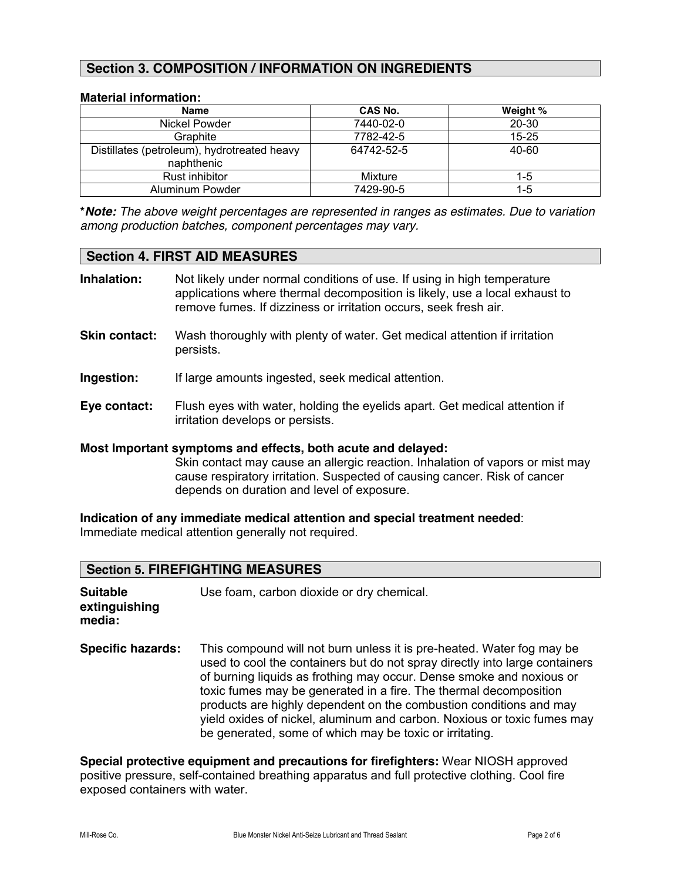## **Section 3. COMPOSITION / INFORMATION ON INGREDIENTS**

#### **Material information:**

| <b>Name</b>                                               | CAS No.    | Weight %  |
|-----------------------------------------------------------|------------|-----------|
| Nickel Powder                                             | 7440-02-0  | 20-30     |
| Graphite                                                  | 7782-42-5  | $15 - 25$ |
| Distillates (petroleum), hydrotreated heavy<br>naphthenic | 64742-52-5 | 40-60     |
| Rust inhibitor                                            | Mixture    | $1-5$     |
| Aluminum Powder                                           | 7429-90-5  | 1-5       |

**\****Note: The above weight percentages are represented in ranges as estimates. Due to variation among production batches, component percentages may vary.*

#### **Section 4. FIRST AID MEASURES**

| Inhalation: | Not likely under normal conditions of use. If using in high temperature<br>applications where thermal decomposition is likely, use a local exhaust to<br>remove fumes. If dizziness or irritation occurs, seek fresh air. |
|-------------|---------------------------------------------------------------------------------------------------------------------------------------------------------------------------------------------------------------------------|
|             |                                                                                                                                                                                                                           |

- **Skin contact:** Wash thoroughly with plenty of water. Get medical attention if irritation persists.
- **Ingestion:** If large amounts ingested, seek medical attention.
- **Eye contact:** Flush eyes with water, holding the eyelids apart. Get medical attention if irritation develops or persists.

### **Most Important symptoms and effects, both acute and delayed:**

Skin contact may cause an allergic reaction. Inhalation of vapors or mist may cause respiratory irritation. Suspected of causing cancer. Risk of cancer depends on duration and level of exposure.

**Indication of any immediate medical attention and special treatment needed**: Immediate medical attention generally not required.

## **Section 5. FIREFIGHTING MEASURES**

| <b>Suitable</b><br>extinguishing<br>media: | Use foam, carbon dioxide or dry chemical.                                                                                                                                                                                                                                                                                                                                                                                                                                                                     |
|--------------------------------------------|---------------------------------------------------------------------------------------------------------------------------------------------------------------------------------------------------------------------------------------------------------------------------------------------------------------------------------------------------------------------------------------------------------------------------------------------------------------------------------------------------------------|
| <b>Specific hazards:</b>                   | This compound will not burn unless it is pre-heated. Water fog may be<br>used to cool the containers but do not spray directly into large containers<br>of burning liquids as frothing may occur. Dense smoke and noxious or<br>toxic fumes may be generated in a fire. The thermal decomposition<br>products are highly dependent on the combustion conditions and may<br>yield oxides of nickel, aluminum and carbon. Noxious or toxic fumes may<br>be generated, some of which may be toxic or irritating. |

**Special protective equipment and precautions for firefighters:** Wear NIOSH approved positive pressure, self-contained breathing apparatus and full protective clothing. Cool fire exposed containers with water.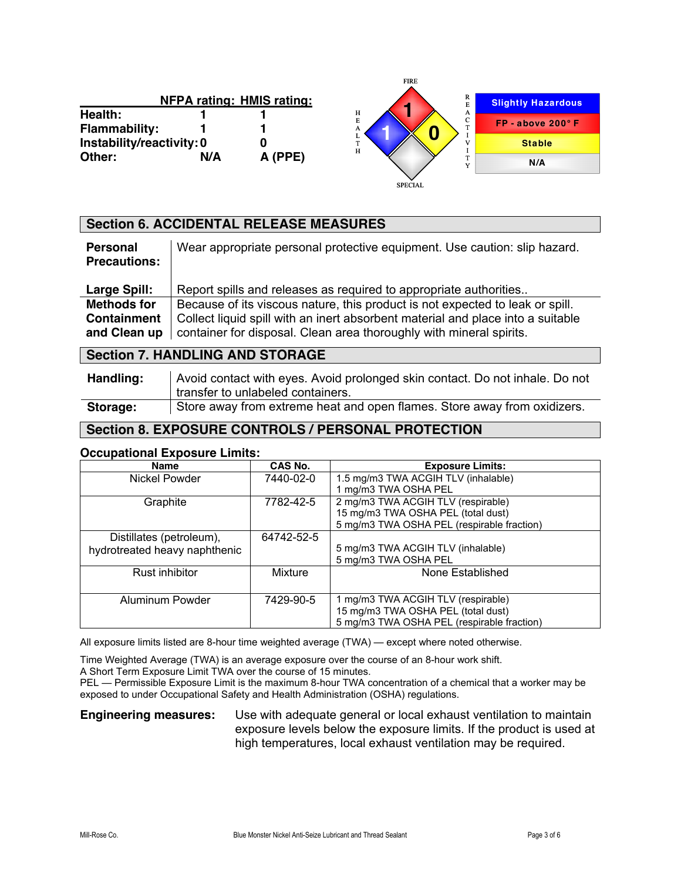|                           |     | <b>NFPA rating: HMIS rating:</b> |  |
|---------------------------|-----|----------------------------------|--|
| Health:                   |     |                                  |  |
| <b>Flammability:</b>      |     |                                  |  |
| Instability/reactivity: 0 |     | O                                |  |
| Other:                    | N/A | A (PPE)                          |  |



## **Section 6. ACCIDENTAL RELEASE MEASURES**

| <b>Personal</b><br><b>Precautions:</b>                   | Wear appropriate personal protective equipment. Use caution: slip hazard.                                                                                                                                                               |
|----------------------------------------------------------|-----------------------------------------------------------------------------------------------------------------------------------------------------------------------------------------------------------------------------------------|
| <b>Large Spill:</b>                                      | Report spills and releases as required to appropriate authorities                                                                                                                                                                       |
| <b>Methods for</b><br><b>Containment</b><br>and Clean up | Because of its viscous nature, this product is not expected to leak or spill.<br>Collect liquid spill with an inert absorbent material and place into a suitable<br>container for disposal. Clean area thoroughly with mineral spirits. |

## **Section 7. HANDLING AND STORAGE**

| Handling: | Avoid contact with eyes. Avoid prolonged skin contact. Do not inhale. Do not |
|-----------|------------------------------------------------------------------------------|
|           | transfer to unlabeled containers.                                            |
| Storage:  | Store away from extreme heat and open flames. Store away from oxidizers.     |

# **Section 8. EXPOSURE CONTROLS / PERSONAL PROTECTION**

### **Occupational Exposure Limits:**

| <b>Name</b>                   | CAS No.    | <b>Exposure Limits:</b>                    |
|-------------------------------|------------|--------------------------------------------|
| Nickel Powder                 | 7440-02-0  | 1.5 mg/m3 TWA ACGIH TLV (inhalable)        |
|                               |            | 1 mg/m3 TWA OSHA PEL                       |
| Graphite                      | 7782-42-5  | 2 mg/m3 TWA ACGIH TLV (respirable)         |
|                               |            | 15 mg/m3 TWA OSHA PEL (total dust)         |
|                               |            | 5 mg/m3 TWA OSHA PEL (respirable fraction) |
| Distillates (petroleum),      | 64742-52-5 |                                            |
| hydrotreated heavy naphthenic |            | 5 mg/m3 TWA ACGIH TLV (inhalable)          |
|                               |            | 5 mg/m3 TWA OSHA PEL                       |
| Rust inhibitor                | Mixture    | None Established                           |
|                               |            |                                            |
| Aluminum Powder               | 7429-90-5  | 1 mg/m3 TWA ACGIH TLV (respirable)         |
|                               |            | 15 mg/m3 TWA OSHA PEL (total dust)         |
|                               |            | 5 mg/m3 TWA OSHA PEL (respirable fraction) |

All exposure limits listed are 8-hour time weighted average (TWA) — except where noted otherwise.

Time Weighted Average (TWA) is an average exposure over the course of an 8-hour work shift.

A Short Term Exposure Limit TWA over the course of 15 minutes.

PEL — Permissible Exposure Limit is the maximum 8-hour TWA concentration of a chemical that a worker may be exposed to under Occupational Safety and Health Administration (OSHA) regulations.

**Engineering measures:** Use with adequate general or local exhaust ventilation to maintain exposure levels below the exposure limits. If the product is used at high temperatures, local exhaust ventilation may be required.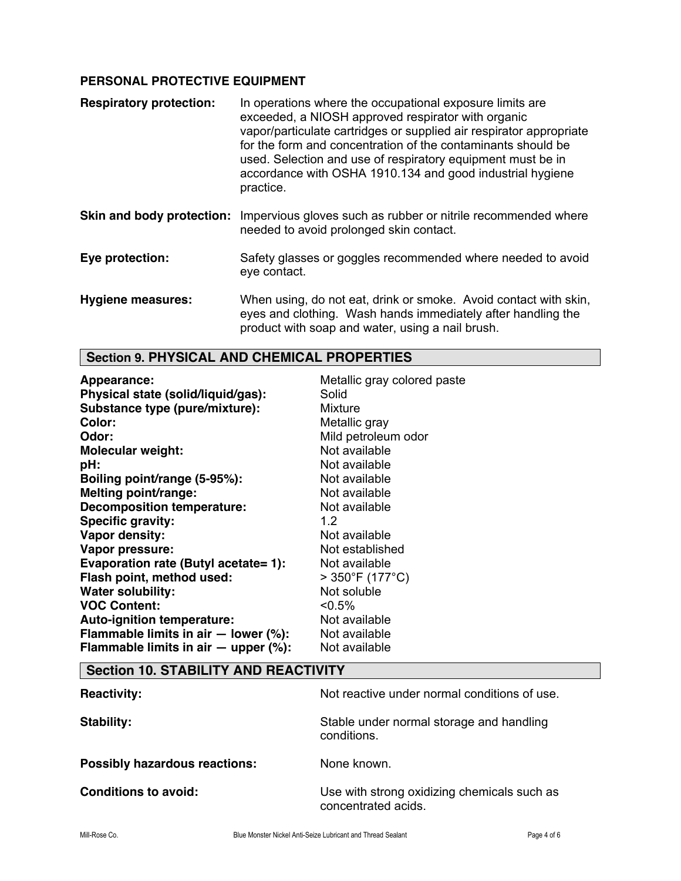## **PERSONAL PROTECTIVE EQUIPMENT**

| <b>Respiratory protection:</b> | In operations where the occupational exposure limits are<br>exceeded, a NIOSH approved respirator with organic<br>vapor/particulate cartridges or supplied air respirator appropriate<br>for the form and concentration of the contaminants should be<br>used. Selection and use of respiratory equipment must be in<br>accordance with OSHA 1910.134 and good industrial hygiene<br>practice. |
|--------------------------------|------------------------------------------------------------------------------------------------------------------------------------------------------------------------------------------------------------------------------------------------------------------------------------------------------------------------------------------------------------------------------------------------|
| Skin and body protection:      | Impervious gloves such as rubber or nitrile recommended where<br>needed to avoid prolonged skin contact.                                                                                                                                                                                                                                                                                       |
| Eye protection:                | Safety glasses or goggles recommended where needed to avoid<br>eye contact.                                                                                                                                                                                                                                                                                                                    |
| <b>Hygiene measures:</b>       | When using, do not eat, drink or smoke. Avoid contact with skin,<br>eyes and clothing. Wash hands immediately after handling the<br>product with soap and water, using a nail brush.                                                                                                                                                                                                           |

# **Section 9. PHYSICAL AND CHEMICAL PROPERTIES**

| Appearance:                                | Metallic gray colored paste |
|--------------------------------------------|-----------------------------|
| Physical state (solid/liquid/gas):         | Solid                       |
| Substance type (pure/mixture):             | Mixture                     |
| <b>Color:</b>                              | Metallic gray               |
| Odor:                                      | Mild petroleum odor         |
| <b>Molecular weight:</b>                   | Not available               |
| pH:                                        | Not available               |
| Boiling point/range (5-95%):               | Not available               |
| Melting point/range:                       | Not available               |
| <b>Decomposition temperature:</b>          | Not available               |
| <b>Specific gravity:</b>                   | 1.2 <sub>1</sub>            |
| Vapor density:                             | Not available               |
| Vapor pressure:                            | Not established             |
| Evaporation rate (Butyl acetate= 1):       | Not available               |
| Flash point, method used:                  | $>$ 350°F (177°C)           |
| <b>Water solubility:</b>                   | Not soluble                 |
| <b>VOC Content:</b>                        | $< 0.5\%$                   |
| <b>Auto-ignition temperature:</b>          | Not available               |
| Flammable limits in air $-$ lower (%):     | Not available               |
| Flammable limits in air $-$ upper $(\%)$ : | Not available               |

# **Section 10. STABILITY AND REACTIVITY**

| <b>Reactivity:</b>                   | Not reactive under normal conditions of use.                       |
|--------------------------------------|--------------------------------------------------------------------|
| Stability:                           | Stable under normal storage and handling<br>conditions.            |
| <b>Possibly hazardous reactions:</b> | None known.                                                        |
| <b>Conditions to avoid:</b>          | Use with strong oxidizing chemicals such as<br>concentrated acids. |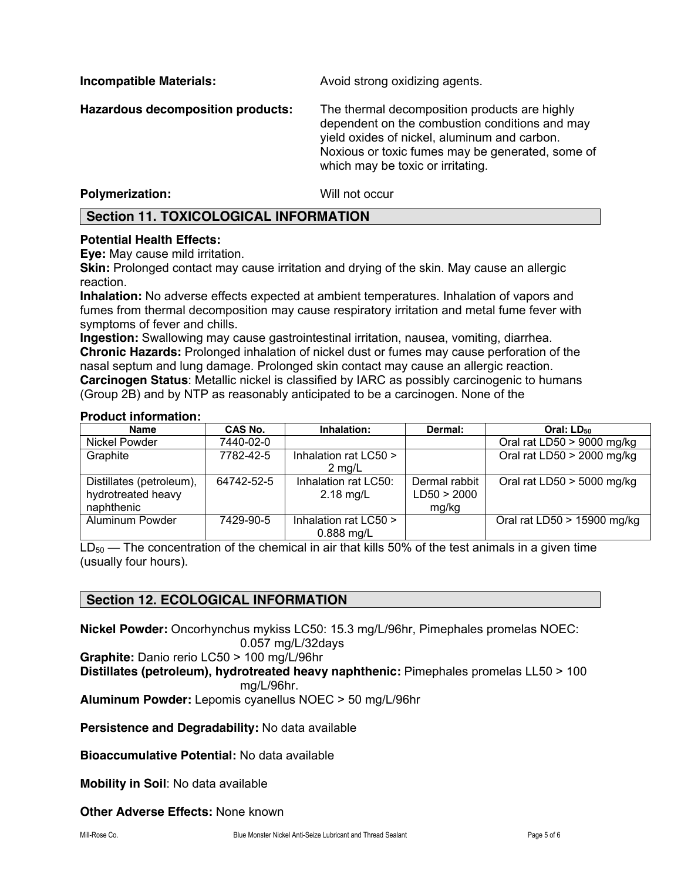**Incompatible Materials: Avoid strong oxidizing agents.** 

**Hazardous decomposition products:** The thermal decomposition products are highly dependent on the combustion conditions and may yield oxides of nickel, aluminum and carbon. Noxious or toxic fumes may be generated, some of which may be toxic or irritating.

### **Polymerization:** Will not occur

## **Section 11. TOXICOLOGICAL INFORMATION**

### **Potential Health Effects:**

**Eye:** May cause mild irritation.

**Skin:** Prolonged contact may cause irritation and drying of the skin. May cause an allergic reaction.

**Inhalation:** No adverse effects expected at ambient temperatures. Inhalation of vapors and fumes from thermal decomposition may cause respiratory irritation and metal fume fever with symptoms of fever and chills.

**Ingestion:** Swallowing may cause gastrointestinal irritation, nausea, vomiting, diarrhea. **Chronic Hazards:** Prolonged inhalation of nickel dust or fumes may cause perforation of the nasal septum and lung damage. Prolonged skin contact may cause an allergic reaction. **Carcinogen Status**: Metallic nickel is classified by IARC as possibly carcinogenic to humans (Group 2B) and by NTP as reasonably anticipated to be a carcinogen. None of the

#### **Product information:**

| Name                                                         | CAS No.    | Inhalation:                               | Dermal:                               | Oral: LD <sub>50</sub>       |
|--------------------------------------------------------------|------------|-------------------------------------------|---------------------------------------|------------------------------|
| <b>Nickel Powder</b>                                         | 7440-02-0  |                                           |                                       | Oral rat LD50 $>$ 9000 mg/kg |
| Graphite                                                     | 7782-42-5  | Inhalation rat LC50 ><br>$2 \text{ ma/L}$ |                                       | Oral rat LD50 > 2000 mg/kg   |
| Distillates (petroleum),<br>hydrotreated heavy<br>naphthenic | 64742-52-5 | Inhalation rat LC50:<br>$2.18$ mg/L       | Dermal rabbit<br>LD50 > 2000<br>mg/kg | Oral rat LD50 $>$ 5000 mg/kg |
| Aluminum Powder                                              | 7429-90-5  | Inhalation rat LC50 ><br>$0.888$ mg/L     |                                       | Oral rat LD50 > 15900 mg/kg  |

 $LD_{50}$  — The concentration of the chemical in air that kills 50% of the test animals in a given time (usually four hours).

## **Section 12. ECOLOGICAL INFORMATION**

**Nickel Powder:** Oncorhynchus mykiss LC50: 15.3 mg/L/96hr, Pimephales promelas NOEC:

0.057 mg/L/32days

**Graphite:** Danio rerio LC50 > 100 mg/L/96hr

**Distillates (petroleum), hydrotreated heavy naphthenic:** Pimephales promelas LL50 > 100 mg/L/96hr.

**Aluminum Powder:** Lepomis cyanellus NOEC > 50 mg/L/96hr

**Persistence and Degradability:** No data available

**Bioaccumulative Potential:** No data available

**Mobility in Soil**: No data available

### **Other Adverse Effects:** None known